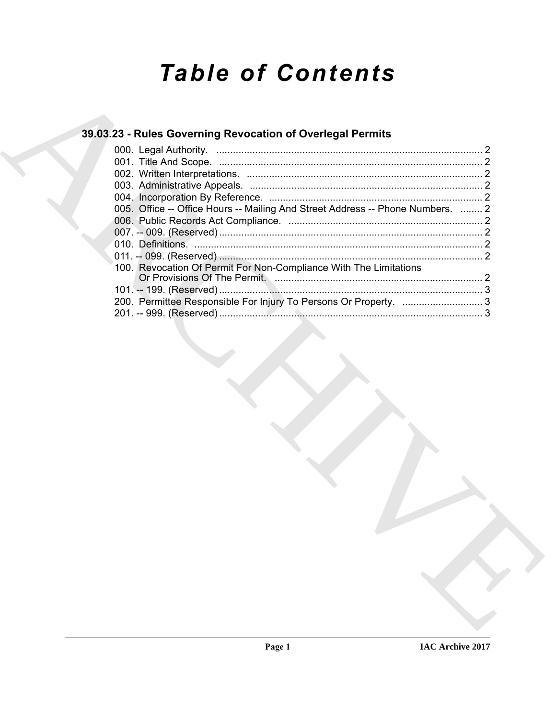# **Table of Contents**

### 39.03.23 - Rules Governing Revocation of Overlegal Permits

| 005. Office -- Office Hours -- Mailing And Street Address -- Phone Numbers.  2 |  |
|--------------------------------------------------------------------------------|--|
|                                                                                |  |
|                                                                                |  |
|                                                                                |  |
|                                                                                |  |
| 100. Revocation Of Permit For Non-Compliance With The Limitations              |  |
|                                                                                |  |
|                                                                                |  |
| 200. Permittee Responsible For Injury To Persons Or Property.  3               |  |
|                                                                                |  |
|                                                                                |  |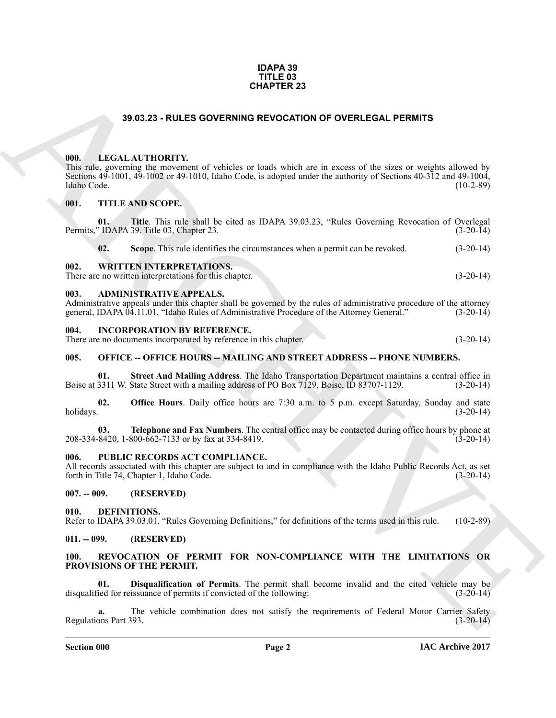#### **IDAPA 39 TITLE 03 CHAPTER 23**

#### **39.03.23 - RULES GOVERNING REVOCATION OF OVERLEGAL PERMITS**

#### <span id="page-1-1"></span><span id="page-1-0"></span>**000. LEGAL AUTHORITY.**

#### <span id="page-1-2"></span>**001. TITLE AND SCOPE.**

|                             | <b>CHAPTER 23</b>                                                                                                                                                                                                                                     |             |
|-----------------------------|-------------------------------------------------------------------------------------------------------------------------------------------------------------------------------------------------------------------------------------------------------|-------------|
|                             | 39.03.23 - RULES GOVERNING REVOCATION OF OVERLEGAL PERMITS                                                                                                                                                                                            |             |
| 000.<br>Idaho Code.         | LEGAL AUTHORITY.<br>This rule, governing the movement of vehicles or loads which are in excess of the sizes or weights allowed by<br>Sections 49-1001, 49-1002 or 49-1010, Idaho Code, is adopted under the authority of Sections 40-312 and 49-1004, | $(10-2-89)$ |
| 001.                        | <b>TITLE AND SCOPE.</b>                                                                                                                                                                                                                               |             |
| 01.                         | Title. This rule shall be cited as IDAPA 39.03.23, "Rules Governing Revocation of Overlegal<br>Permits," IDAPA 39. Title 03, Chapter 23.                                                                                                              | $(3-20-14)$ |
| 02.                         | Scope. This rule identifies the circumstances when a permit can be revoked.                                                                                                                                                                           | $(3-20-14)$ |
| 002.                        | <b>WRITTEN INTERPRETATIONS.</b><br>There are no written interpretations for this chapter.                                                                                                                                                             | $(3-20-14)$ |
| 003.                        | <b>ADMINISTRATIVE APPEALS.</b><br>Administrative appeals under this chapter shall be governed by the rules of administrative procedure of the attorney<br>general, IDAPA 04.11.01, "Idaho Rules of Administrative Procedure of the Attorney General." | $(3-20-14)$ |
| 004.                        | <b>INCORPORATION BY REFERENCE.</b><br>There are no documents incorporated by reference in this chapter.                                                                                                                                               | $(3-20-14)$ |
| 005.                        | <b>OFFICE -- OFFICE HOURS -- MAILING AND STREET ADDRESS -- PHONE NUMBERS.</b>                                                                                                                                                                         |             |
| 01.                         | Street And Mailing Address. The Idaho Transportation Department maintains a central office in<br>Boise at 3311 W. State Street with a mailing address of PO Box 7129, Boise, ID 83707-1129.                                                           | $(3-20-14)$ |
| 02.<br>holidays.            | <b>Office Hours</b> . Daily office hours are 7:30 a.m. to 5 p.m. except Saturday, Sunday and state                                                                                                                                                    | $(3-20-14)$ |
| 03.                         | Telephone and Fax Numbers. The central office may be contacted during office hours by phone at<br>208-334-8420, 1-800-662-7133 or by fax at 334-8419.                                                                                                 | $(3-20-14)$ |
| 006.                        | PUBLIC RECORDS ACT COMPLIANCE.<br>All records associated with this chapter are subject to and in compliance with the Idaho Public Records Act, as set<br>forth in Title 74, Chapter 1, Idaho Code.                                                    | $(3-20-14)$ |
| $007. - 009.$               | (RESERVED)                                                                                                                                                                                                                                            |             |
| 010.                        | DEFINITIONS.<br>Refer to IDAPA 39.03.01, "Rules Governing Definitions," for definitions of the terms used in this rule.                                                                                                                               | $(10-2-89)$ |
| $011. - 099.$               | (RESERVED)                                                                                                                                                                                                                                            |             |
| 100.                        | REVOCATION OF PERMIT FOR NON-COMPLIANCE WITH THE LIMITATIONS OR<br>PROVISIONS OF THE PERMIT.                                                                                                                                                          |             |
| 01.                         | Disqualification of Permits. The permit shall become invalid and the cited vehicle may be<br>disqualified for reissuance of permits if convicted of the following:                                                                                    | $(3-20-14)$ |
| a.<br>Regulations Part 393. | The vehicle combination does not satisfy the requirements of Federal Motor Carrier Safety                                                                                                                                                             | $(3-20-14)$ |
|                             |                                                                                                                                                                                                                                                       |             |

#### <span id="page-1-4"></span><span id="page-1-3"></span>**003. ADMINISTRATIVE APPEALS.**

#### <span id="page-1-5"></span>**004. INCORPORATION BY REFERENCE.**

#### <span id="page-1-6"></span>**005. OFFICE -- OFFICE HOURS -- MAILING AND STREET ADDRESS -- PHONE NUMBERS.**

#### <span id="page-1-7"></span>PUBLIC RECORDS ACT COMPLIANCE.

#### <span id="page-1-8"></span>**007. -- 009. (RESERVED)**

#### <span id="page-1-12"></span><span id="page-1-9"></span>**010. DEFINITIONS.**

#### <span id="page-1-10"></span>**011. -- 099. (RESERVED)**

#### <span id="page-1-14"></span><span id="page-1-13"></span><span id="page-1-11"></span>**100. REVOCATION OF PERMIT FOR NON-COMPLIANCE WITH THE LIMITATIONS OR PROVISIONS OF THE PERMIT.**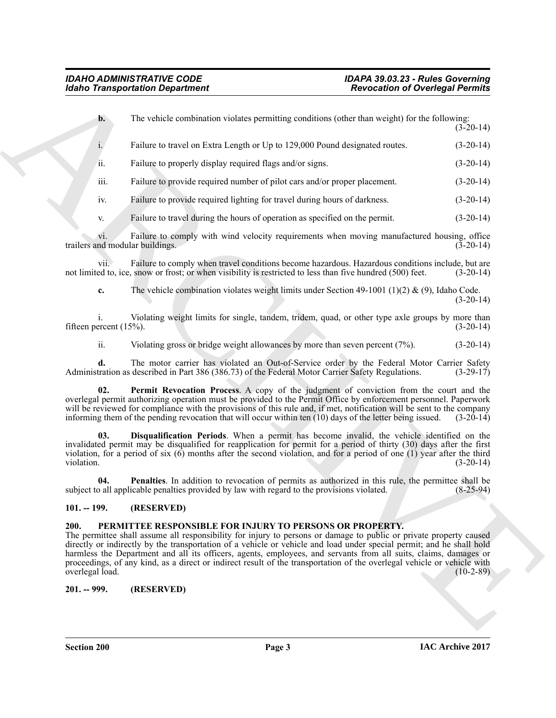| The vehicle combination violates permitting conditions (other than weight) for the following:<br>$\mathbf{b}$ .<br>$(3-20-14)$<br>Failure to travel on Extra Length or Up to 129,000 Pound designated routes.<br>$(3-20-14)$<br>$\dot{1}$ .<br>ii.<br>Failure to properly display required flags and/or signs.<br>$(3-20-14)$<br>iii.<br>Failure to provide required number of pilot cars and/or proper placement.<br>$(3-20-14)$<br>Failure to provide required lighting for travel during hours of darkness.<br>$(3-20-14)$<br>iv.<br>Failure to travel during the hours of operation as specified on the permit.<br>$(3-20-14)$<br>V.<br>Failure to comply with wind velocity requirements when moving manufactured housing, office<br>V1.<br>trailers and modular buildings.<br>$(3-20-14)$<br>Failure to comply when travel conditions become hazardous. Hazardous conditions include, but are<br>vii.<br>not limited to, ice, snow or frost; or when visibility is restricted to less than five hundred (500) feet.<br>$(3-20-14)$<br>The vehicle combination violates weight limits under Section 49-1001 (1)(2) & (9), Idaho Code.<br>c.<br>$(3-20-14)$<br>Violating weight limits for single, tandem, tridem, quad, or other type axle groups by more than<br>fifteen percent $(15%)$ .<br>$(3-20-14)$<br>ii.<br>Violating gross or bridge weight allowances by more than seven percent $(7%)$ .<br>$(3-20-14)$<br>The motor carrier has violated an Out-of-Service order by the Federal Motor Carrier Safety<br>d.<br>Administration as described in Part 386 (386.73) of the Federal Motor Carrier Safety Regulations.<br>$(3-29-17)$<br>02.<br>Permit Revocation Process. A copy of the judgment of conviction from the court and the<br>overlegal permit authorizing operation must be provided to the Permit Office by enforcement personnel. Paperwork<br>will be reviewed for compliance with the provisions of this rule and, if met, notification will be sent to the company<br>informing them of the pending revocation that will occur within ten (10) days of the letter being issued.<br>$(3-20-14)$<br>Disqualification Periods. When a permit has become invalid, the vehicle identified on the<br>03.<br>invalidated permit may be disqualified for reapplication for permit for a period of thirty (30) days after the first<br>violation, for a period of six $(6)$ months after the second violation, and for a period of one (1) year after the third<br>violation.<br>$(3-20-14)$<br><b>Penalties</b> . In addition to revocation of permits as authorized in this rule, the permittee shall be<br>04.<br>subject to all applicable penalties provided by law with regard to the provisions violated.<br>$(8-25-94)$<br>$101. - 199.$<br>(RESERVED)<br>200.<br>PERMITTEE RESPONSIBLE FOR INJURY TO PERSONS OR PROPERTY.<br>The permittee shall assume all responsibility for injury to persons or damage to public or private property caused<br>directly or indirectly by the transportation of a vehicle or vehicle and load under special permit; and he shall hold<br>harmless the Department and all its officers, agents, employees, and servants from all suits, claims, damages or<br>proceedings, of any kind, as a direct or indirect result of the transportation of the overlegal vehicle or vehicle with<br>overlegal load.<br>$(10-2-89)$<br>$201. - 999.$<br>(RESERVED) |  |
|-----------------------------------------------------------------------------------------------------------------------------------------------------------------------------------------------------------------------------------------------------------------------------------------------------------------------------------------------------------------------------------------------------------------------------------------------------------------------------------------------------------------------------------------------------------------------------------------------------------------------------------------------------------------------------------------------------------------------------------------------------------------------------------------------------------------------------------------------------------------------------------------------------------------------------------------------------------------------------------------------------------------------------------------------------------------------------------------------------------------------------------------------------------------------------------------------------------------------------------------------------------------------------------------------------------------------------------------------------------------------------------------------------------------------------------------------------------------------------------------------------------------------------------------------------------------------------------------------------------------------------------------------------------------------------------------------------------------------------------------------------------------------------------------------------------------------------------------------------------------------------------------------------------------------------------------------------------------------------------------------------------------------------------------------------------------------------------------------------------------------------------------------------------------------------------------------------------------------------------------------------------------------------------------------------------------------------------------------------------------------------------------------------------------------------------------------------------------------------------------------------------------------------------------------------------------------------------------------------------------------------------------------------------------------------------------------------------------------------------------------------------------------------------------------------------------------------------------------------------------------------------------------------------------------------------------------------------------------------------------------------------------------------------------------------------------------------------------------------------------------------------------------------------------------------------------------------------------------------------------------------------------------------------------------------------------------------------------------------------------------------------------------------------------------|--|
|                                                                                                                                                                                                                                                                                                                                                                                                                                                                                                                                                                                                                                                                                                                                                                                                                                                                                                                                                                                                                                                                                                                                                                                                                                                                                                                                                                                                                                                                                                                                                                                                                                                                                                                                                                                                                                                                                                                                                                                                                                                                                                                                                                                                                                                                                                                                                                                                                                                                                                                                                                                                                                                                                                                                                                                                                                                                                                                                                                                                                                                                                                                                                                                                                                                                                                                                                                                                                       |  |
|                                                                                                                                                                                                                                                                                                                                                                                                                                                                                                                                                                                                                                                                                                                                                                                                                                                                                                                                                                                                                                                                                                                                                                                                                                                                                                                                                                                                                                                                                                                                                                                                                                                                                                                                                                                                                                                                                                                                                                                                                                                                                                                                                                                                                                                                                                                                                                                                                                                                                                                                                                                                                                                                                                                                                                                                                                                                                                                                                                                                                                                                                                                                                                                                                                                                                                                                                                                                                       |  |
|                                                                                                                                                                                                                                                                                                                                                                                                                                                                                                                                                                                                                                                                                                                                                                                                                                                                                                                                                                                                                                                                                                                                                                                                                                                                                                                                                                                                                                                                                                                                                                                                                                                                                                                                                                                                                                                                                                                                                                                                                                                                                                                                                                                                                                                                                                                                                                                                                                                                                                                                                                                                                                                                                                                                                                                                                                                                                                                                                                                                                                                                                                                                                                                                                                                                                                                                                                                                                       |  |
|                                                                                                                                                                                                                                                                                                                                                                                                                                                                                                                                                                                                                                                                                                                                                                                                                                                                                                                                                                                                                                                                                                                                                                                                                                                                                                                                                                                                                                                                                                                                                                                                                                                                                                                                                                                                                                                                                                                                                                                                                                                                                                                                                                                                                                                                                                                                                                                                                                                                                                                                                                                                                                                                                                                                                                                                                                                                                                                                                                                                                                                                                                                                                                                                                                                                                                                                                                                                                       |  |
|                                                                                                                                                                                                                                                                                                                                                                                                                                                                                                                                                                                                                                                                                                                                                                                                                                                                                                                                                                                                                                                                                                                                                                                                                                                                                                                                                                                                                                                                                                                                                                                                                                                                                                                                                                                                                                                                                                                                                                                                                                                                                                                                                                                                                                                                                                                                                                                                                                                                                                                                                                                                                                                                                                                                                                                                                                                                                                                                                                                                                                                                                                                                                                                                                                                                                                                                                                                                                       |  |
|                                                                                                                                                                                                                                                                                                                                                                                                                                                                                                                                                                                                                                                                                                                                                                                                                                                                                                                                                                                                                                                                                                                                                                                                                                                                                                                                                                                                                                                                                                                                                                                                                                                                                                                                                                                                                                                                                                                                                                                                                                                                                                                                                                                                                                                                                                                                                                                                                                                                                                                                                                                                                                                                                                                                                                                                                                                                                                                                                                                                                                                                                                                                                                                                                                                                                                                                                                                                                       |  |
|                                                                                                                                                                                                                                                                                                                                                                                                                                                                                                                                                                                                                                                                                                                                                                                                                                                                                                                                                                                                                                                                                                                                                                                                                                                                                                                                                                                                                                                                                                                                                                                                                                                                                                                                                                                                                                                                                                                                                                                                                                                                                                                                                                                                                                                                                                                                                                                                                                                                                                                                                                                                                                                                                                                                                                                                                                                                                                                                                                                                                                                                                                                                                                                                                                                                                                                                                                                                                       |  |
|                                                                                                                                                                                                                                                                                                                                                                                                                                                                                                                                                                                                                                                                                                                                                                                                                                                                                                                                                                                                                                                                                                                                                                                                                                                                                                                                                                                                                                                                                                                                                                                                                                                                                                                                                                                                                                                                                                                                                                                                                                                                                                                                                                                                                                                                                                                                                                                                                                                                                                                                                                                                                                                                                                                                                                                                                                                                                                                                                                                                                                                                                                                                                                                                                                                                                                                                                                                                                       |  |
|                                                                                                                                                                                                                                                                                                                                                                                                                                                                                                                                                                                                                                                                                                                                                                                                                                                                                                                                                                                                                                                                                                                                                                                                                                                                                                                                                                                                                                                                                                                                                                                                                                                                                                                                                                                                                                                                                                                                                                                                                                                                                                                                                                                                                                                                                                                                                                                                                                                                                                                                                                                                                                                                                                                                                                                                                                                                                                                                                                                                                                                                                                                                                                                                                                                                                                                                                                                                                       |  |
|                                                                                                                                                                                                                                                                                                                                                                                                                                                                                                                                                                                                                                                                                                                                                                                                                                                                                                                                                                                                                                                                                                                                                                                                                                                                                                                                                                                                                                                                                                                                                                                                                                                                                                                                                                                                                                                                                                                                                                                                                                                                                                                                                                                                                                                                                                                                                                                                                                                                                                                                                                                                                                                                                                                                                                                                                                                                                                                                                                                                                                                                                                                                                                                                                                                                                                                                                                                                                       |  |
|                                                                                                                                                                                                                                                                                                                                                                                                                                                                                                                                                                                                                                                                                                                                                                                                                                                                                                                                                                                                                                                                                                                                                                                                                                                                                                                                                                                                                                                                                                                                                                                                                                                                                                                                                                                                                                                                                                                                                                                                                                                                                                                                                                                                                                                                                                                                                                                                                                                                                                                                                                                                                                                                                                                                                                                                                                                                                                                                                                                                                                                                                                                                                                                                                                                                                                                                                                                                                       |  |
|                                                                                                                                                                                                                                                                                                                                                                                                                                                                                                                                                                                                                                                                                                                                                                                                                                                                                                                                                                                                                                                                                                                                                                                                                                                                                                                                                                                                                                                                                                                                                                                                                                                                                                                                                                                                                                                                                                                                                                                                                                                                                                                                                                                                                                                                                                                                                                                                                                                                                                                                                                                                                                                                                                                                                                                                                                                                                                                                                                                                                                                                                                                                                                                                                                                                                                                                                                                                                       |  |
|                                                                                                                                                                                                                                                                                                                                                                                                                                                                                                                                                                                                                                                                                                                                                                                                                                                                                                                                                                                                                                                                                                                                                                                                                                                                                                                                                                                                                                                                                                                                                                                                                                                                                                                                                                                                                                                                                                                                                                                                                                                                                                                                                                                                                                                                                                                                                                                                                                                                                                                                                                                                                                                                                                                                                                                                                                                                                                                                                                                                                                                                                                                                                                                                                                                                                                                                                                                                                       |  |
|                                                                                                                                                                                                                                                                                                                                                                                                                                                                                                                                                                                                                                                                                                                                                                                                                                                                                                                                                                                                                                                                                                                                                                                                                                                                                                                                                                                                                                                                                                                                                                                                                                                                                                                                                                                                                                                                                                                                                                                                                                                                                                                                                                                                                                                                                                                                                                                                                                                                                                                                                                                                                                                                                                                                                                                                                                                                                                                                                                                                                                                                                                                                                                                                                                                                                                                                                                                                                       |  |
|                                                                                                                                                                                                                                                                                                                                                                                                                                                                                                                                                                                                                                                                                                                                                                                                                                                                                                                                                                                                                                                                                                                                                                                                                                                                                                                                                                                                                                                                                                                                                                                                                                                                                                                                                                                                                                                                                                                                                                                                                                                                                                                                                                                                                                                                                                                                                                                                                                                                                                                                                                                                                                                                                                                                                                                                                                                                                                                                                                                                                                                                                                                                                                                                                                                                                                                                                                                                                       |  |
|                                                                                                                                                                                                                                                                                                                                                                                                                                                                                                                                                                                                                                                                                                                                                                                                                                                                                                                                                                                                                                                                                                                                                                                                                                                                                                                                                                                                                                                                                                                                                                                                                                                                                                                                                                                                                                                                                                                                                                                                                                                                                                                                                                                                                                                                                                                                                                                                                                                                                                                                                                                                                                                                                                                                                                                                                                                                                                                                                                                                                                                                                                                                                                                                                                                                                                                                                                                                                       |  |
|                                                                                                                                                                                                                                                                                                                                                                                                                                                                                                                                                                                                                                                                                                                                                                                                                                                                                                                                                                                                                                                                                                                                                                                                                                                                                                                                                                                                                                                                                                                                                                                                                                                                                                                                                                                                                                                                                                                                                                                                                                                                                                                                                                                                                                                                                                                                                                                                                                                                                                                                                                                                                                                                                                                                                                                                                                                                                                                                                                                                                                                                                                                                                                                                                                                                                                                                                                                                                       |  |
|                                                                                                                                                                                                                                                                                                                                                                                                                                                                                                                                                                                                                                                                                                                                                                                                                                                                                                                                                                                                                                                                                                                                                                                                                                                                                                                                                                                                                                                                                                                                                                                                                                                                                                                                                                                                                                                                                                                                                                                                                                                                                                                                                                                                                                                                                                                                                                                                                                                                                                                                                                                                                                                                                                                                                                                                                                                                                                                                                                                                                                                                                                                                                                                                                                                                                                                                                                                                                       |  |

#### <span id="page-2-6"></span><span id="page-2-5"></span><span id="page-2-4"></span><span id="page-2-0"></span>**101. -- 199. (RESERVED)**

#### <span id="page-2-3"></span><span id="page-2-2"></span><span id="page-2-1"></span>**200. PERMITTEE RESPONSIBLE FOR INJURY TO PERSONS OR PROPERTY.**